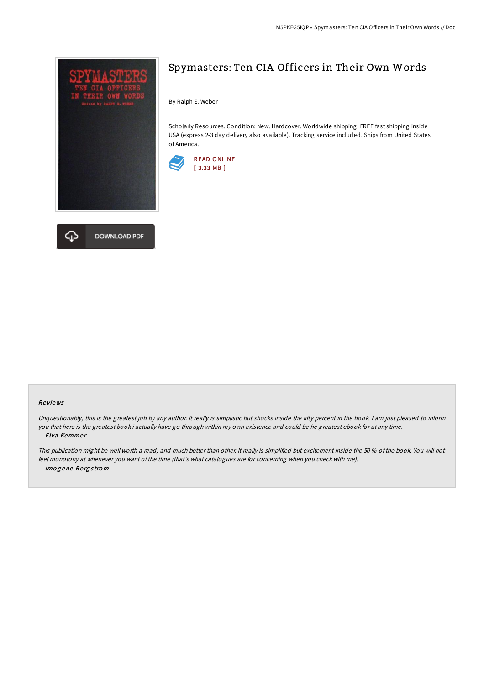



## Spymasters: Ten CIA Officers in Their Own Words

By Ralph E. Weber

Scholarly Resources. Condition: New. Hardcover. Worldwide shipping. FREE fast shipping inside USA (express 2-3 day delivery also available). Tracking service included. Ships from United States of America.



## Re views

Unquestionably, this is the greatest job by any author. It really is simplistic but shocks inside the fifty percent in the book. I am just pleased to inform you that here is the greatest book i actually have go through within my own existence and could be he greatest ebook for at any time. -- Elva Kemmer

This publication might be well worth <sup>a</sup> read, and much better than other. It really is simplified but excitement inside the 50 % of the book. You will not feel monotony at whenever you want ofthe time (that's what catalogues are for concerning when you check with me). -- Imo g ene Be rg <sup>s</sup> tro <sup>m</sup>